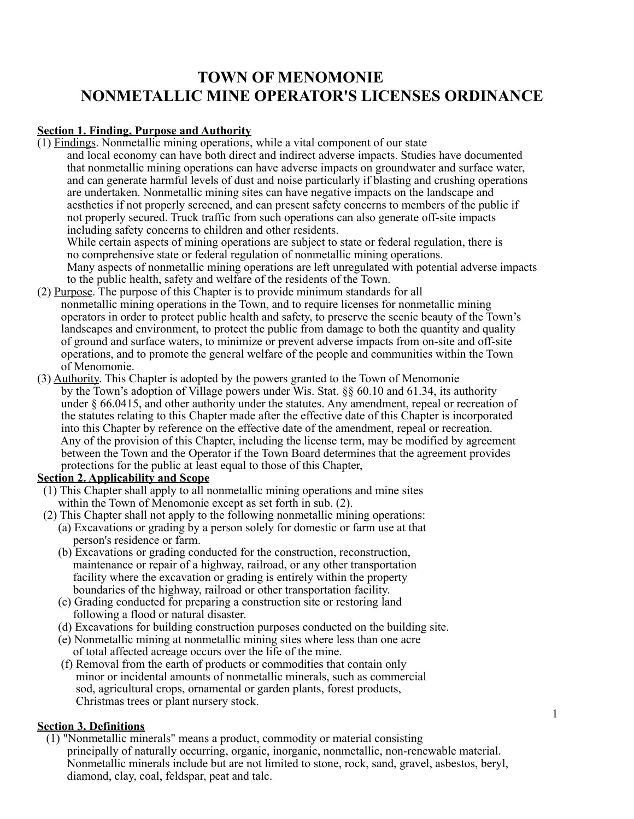# **TOWN OF MENOMONIE NONMETALLIC MINE OPERATOR'S LICENSES ORDINANCE**

## **Section 1. Finding, Purpose and Authority**

(1) Findings. Nonmetallic mining operations, while a vital component of our state

 and local economy can have both direct and indirect adverse impacts. Studies have documented that nonmetallic mining operations can have adverse impacts on groundwater and surface water, and can generate harmful levels of dust and noise particularly if blasting and crushing operations are undertaken. Nonmetallic mining sites can have negative impacts on the landscape and aesthetics if not properly screened, and can present safety concerns to members of the public if not properly secured. Truck traffic from such operations can also generate off-site impacts including safety concerns to children and other residents.

 While certain aspects of mining operations are subject to state or federal regulation, there is no comprehensive state or federal regulation of nonmetallic mining operations. Many aspects of nonmetallic mining operations are left unregulated with potential adverse impacts to the public health, safety and welfare of the residents of the Town.

- (2) Purpose. The purpose of this Chapter is to provide minimum standards for all nonmetallic mining operations in the Town, and to require licenses for nonmetallic mining operators in order to protect public health and safety, to preserve the scenic beauty of the Town's landscapes and environment, to protect the public from damage to both the quantity and quality of ground and surface waters, to minimize or prevent adverse impacts from on-site and off-site operations, and to promote the general welfare of the people and communities within the Town of Menomonie.
- (3) Authority. This Chapter is adopted by the powers granted to the Town of Menomonie by the Town's adoption of Village powers under Wis. Stat. §§ 60.10 and 61.34, its authority under § 66.0415, and other authority under the statutes. Any amendment, repeal or recreation of the statutes relating to this Chapter made after the effective date of this Chapter is incorporated into this Chapter by reference on the effective date of the amendment, repeal or recreation. Any of the provision of this Chapter, including the license term, may be modified by agreement between the Town and the Operator if the Town Board determines that the agreement provides protections for the public at least equal to those of this Chapter,

## **Section 2. Applicability and Scope**

- (1) This Chapter shall apply to all nonmetallic mining operations and mine sites within the Town of Menomonie except as set forth in sub. (2).
- (2) This Chapter shall not apply to the following nonmetallic mining operations:
	- (a) Excavations or grading by a person solely for domestic or farm use at that person's residence or farm.
	- (b) Excavations or grading conducted for the construction, reconstruction, maintenance or repair of a highway, railroad, or any other transportation facility where the excavation or grading is entirely within the property boundaries of the highway, railroad or other transportation facility.
	- (c) Grading conducted for preparing a construction site or restoring land following a flood or natural disaster.
	- (d) Excavations for building construction purposes conducted on the building site.
	- (e) Nonmetallic mining at nonmetallic mining sites where less than one acre of total affected acreage occurs over the life of the mine.
	- (f) Removal from the earth of products or commodities that contain only minor or incidental amounts of nonmetallic minerals, such as commercial sod, agricultural crops, ornamental or garden plants, forest products, Christmas trees or plant nursery stock.

## **Section 3. Definitions**

 (1) "Nonmetallic minerals" means a product, commodity or material consisting principally of naturally occurring, organic, inorganic, nonmetallic, non-renewable material. Nonmetallic minerals include but are not limited to stone, rock, sand, gravel, asbestos, beryl, diamond, clay, coal, feldspar, peat and talc.

1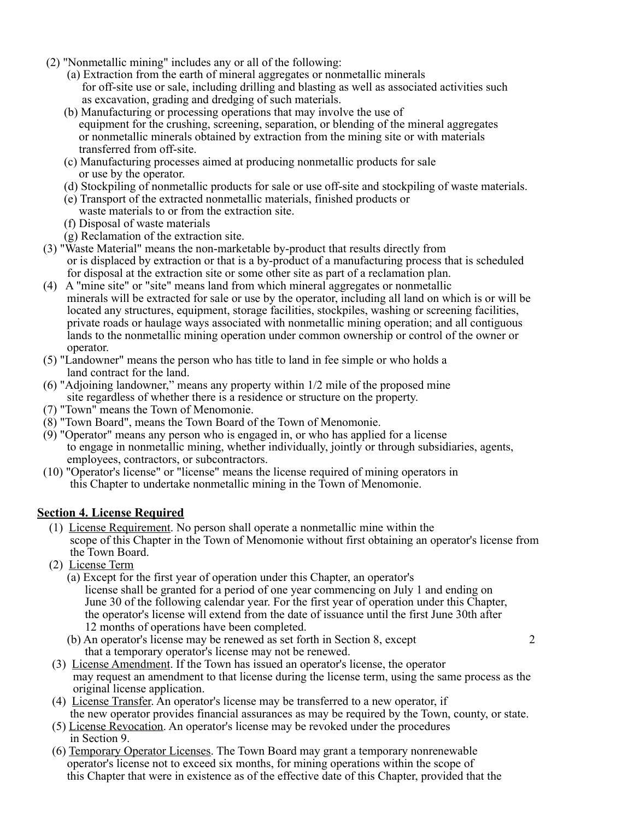- (2) "Nonmetallic mining" includes any or all of the following:
	- (a) Extraction from the earth of mineral aggregates or nonmetallic minerals for off-site use or sale, including drilling and blasting as well as associated activities such as excavation, grading and dredging of such materials.
	- (b) Manufacturing or processing operations that may involve the use of equipment for the crushing, screening, separation, or blending of the mineral aggregates or nonmetallic minerals obtained by extraction from the mining site or with materials transferred from off-site.
	- (c) Manufacturing processes aimed at producing nonmetallic products for sale or use by the operator.
	- (d) Stockpiling of nonmetallic products for sale or use off-site and stockpiling of waste materials.
	- (e) Transport of the extracted nonmetallic materials, finished products or waste materials to or from the extraction site.
	- (f) Disposal of waste materials
	- (g) Reclamation of the extraction site.
- (3) "Waste Material" means the non-marketable by-product that results directly from or is displaced by extraction or that is a by-product of a manufacturing process that is scheduled for disposal at the extraction site or some other site as part of a reclamation plan.
- (4) A "mine site" or "site" means land from which mineral aggregates or nonmetallic minerals will be extracted for sale or use by the operator, including all land on which is or will be located any structures, equipment, storage facilities, stockpiles, washing or screening facilities, private roads or haulage ways associated with nonmetallic mining operation; and all contiguous lands to the nonmetallic mining operation under common ownership or control of the owner or operator.
- (5) "Landowner" means the person who has title to land in fee simple or who holds a land contract for the land.
- (6) "Adjoining landowner," means any property within 1/2 mile of the proposed mine site regardless of whether there is a residence or structure on the property.
- (7) "Town" means the Town of Menomonie.
- (8) "Town Board", means the Town Board of the Town of Menomonie.
- (9) "Operator" means any person who is engaged in, or who has applied for a license to engage in nonmetallic mining, whether individually, jointly or through subsidiaries, agents, employees, contractors, or subcontractors.
- (10) "Operator's license" or "license" means the license required of mining operators in this Chapter to undertake nonmetallic mining in the Town of Menomonie.

## **Section 4. License Required**

- (1) License Requirement. No person shall operate a nonmetallic mine within the scope of this Chapter in the Town of Menomonie without first obtaining an operator's license from the Town Board.
- (2) License Term
	- (a) Except for the first year of operation under this Chapter, an operator's license shall be granted for a period of one year commencing on July 1 and ending on June 30 of the following calendar year. For the first year of operation under this Chapter, the operator's license will extend from the date of issuance until the first June 30th after 12 months of operations have been completed.
	- (b) An operator's license may be renewed as set forth in Section 8, except 2 that a temporary operator's license may not be renewed.
- (3) License Amendment. If the Town has issued an operator's license, the operator may request an amendment to that license during the license term, using the same process as the original license application.
- (4) License Transfer. An operator's license may be transferred to a new operator, if the new operator provides financial assurances as may be required by the Town, county, or state.
- (5) License Revocation. An operator's license may be revoked under the procedures in Section 9.
- (6) Temporary Operator Licenses. The Town Board may grant a temporary nonrenewable operator's license not to exceed six months, for mining operations within the scope of this Chapter that were in existence as of the effective date of this Chapter, provided that the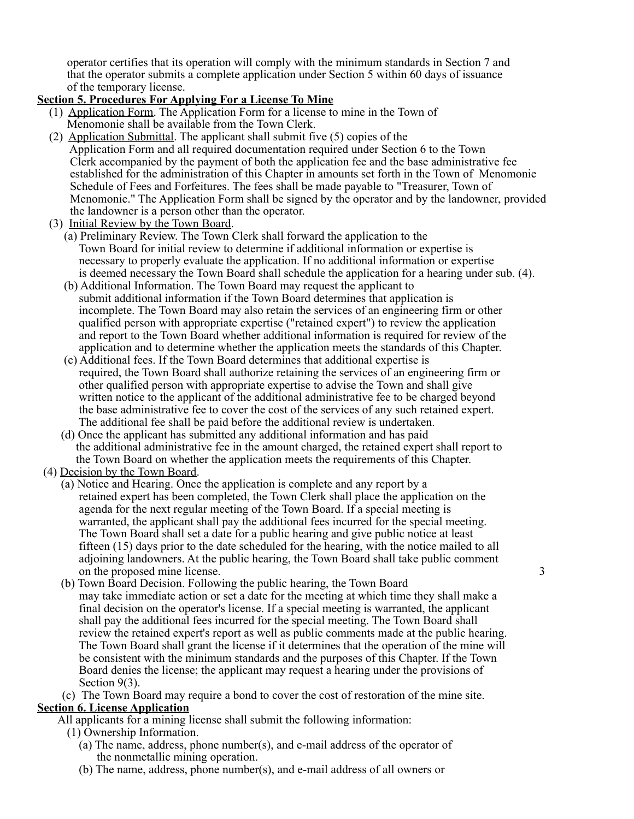operator certifies that its operation will comply with the minimum standards in Section 7 and that the operator submits a complete application under Section 5 within 60 days of issuance of the temporary license.

## **Section 5. Procedures For Applying For a License To Mine**

- (1) Application Form. The Application Form for a license to mine in the Town of Menomonie shall be available from the Town Clerk.
- (2) Application Submittal. The applicant shall submit five (5) copies of the Application Form and all required documentation required under Section 6 to the Town Clerk accompanied by the payment of both the application fee and the base administrative fee established for the administration of this Chapter in amounts set forth in the Town of Menomonie Schedule of Fees and Forfeitures. The fees shall be made payable to "Treasurer, Town of Menomonie." The Application Form shall be signed by the operator and by the landowner, provided the landowner is a person other than the operator.
- (3) Initial Review by the Town Board.
	- (a) Preliminary Review. The Town Clerk shall forward the application to the Town Board for initial review to determine if additional information or expertise is necessary to properly evaluate the application. If no additional information or expertise is deemed necessary the Town Board shall schedule the application for a hearing under sub. (4).
	- (b) Additional Information. The Town Board may request the applicant to submit additional information if the Town Board determines that application is incomplete. The Town Board may also retain the services of an engineering firm or other qualified person with appropriate expertise ("retained expert") to review the application and report to the Town Board whether additional information is required for review of the application and to determine whether the application meets the standards of this Chapter.
	- (c) Additional fees. If the Town Board determines that additional expertise is required, the Town Board shall authorize retaining the services of an engineering firm or other qualified person with appropriate expertise to advise the Town and shall give written notice to the applicant of the additional administrative fee to be charged beyond the base administrative fee to cover the cost of the services of any such retained expert. The additional fee shall be paid before the additional review is undertaken.
	- (d) Once the applicant has submitted any additional information and has paid the additional administrative fee in the amount charged, the retained expert shall report to the Town Board on whether the application meets the requirements of this Chapter.
- (4) Decision by the Town Board.
	- (a) Notice and Hearing. Once the application is complete and any report by a retained expert has been completed, the Town Clerk shall place the application on the agenda for the next regular meeting of the Town Board. If a special meeting is warranted, the applicant shall pay the additional fees incurred for the special meeting. The Town Board shall set a date for a public hearing and give public notice at least fifteen (15) days prior to the date scheduled for the hearing, with the notice mailed to all adjoining landowners. At the public hearing, the Town Board shall take public comment on the proposed mine license. 3
	- (b) Town Board Decision. Following the public hearing, the Town Board may take immediate action or set a date for the meeting at which time they shall make a final decision on the operator's license. If a special meeting is warranted, the applicant shall pay the additional fees incurred for the special meeting. The Town Board shall review the retained expert's report as well as public comments made at the public hearing. The Town Board shall grant the license if it determines that the operation of the mine will be consistent with the minimum standards and the purposes of this Chapter. If the Town Board denies the license; the applicant may request a hearing under the provisions of Section 9(3).
- (c) The Town Board may require a bond to cover the cost of restoration of the mine site. **Section 6. License Application**

All applicants for a mining license shall submit the following information:

- (1) Ownership Information.
	- (a) The name, address, phone number(s), and e-mail address of the operator of the nonmetallic mining operation.
	- (b) The name, address, phone number(s), and e-mail address of all owners or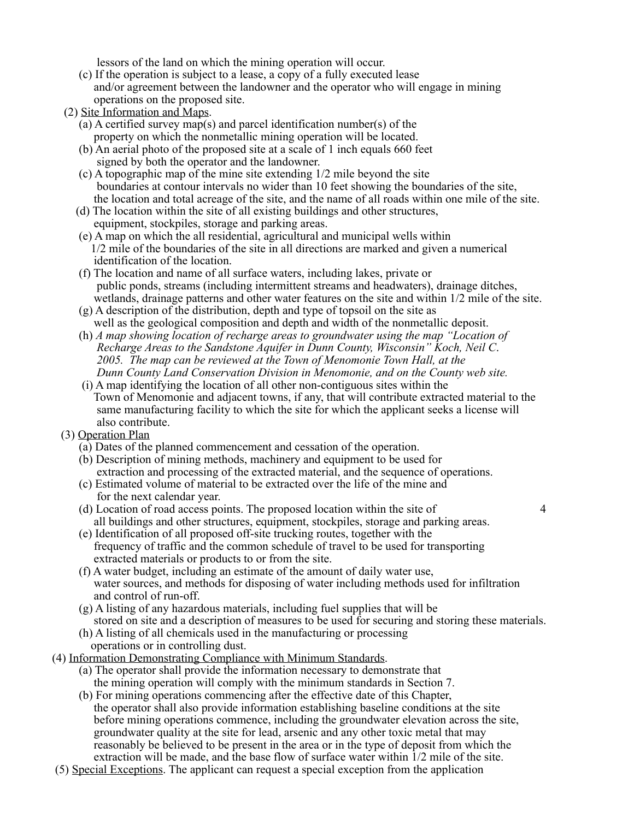lessors of the land on which the mining operation will occur.

- (c) If the operation is subject to a lease, a copy of a fully executed lease and/or agreement between the landowner and the operator who will engage in mining operations on the proposed site.
- (2) Site Information and Maps.
	- (a) A certified survey map(s) and parcel identification number(s) of the property on which the nonmetallic mining operation will be located.
	- (b) An aerial photo of the proposed site at a scale of 1 inch equals 660 feet signed by both the operator and the landowner.
	- (c) A topographic map of the mine site extending 1/2 mile beyond the site boundaries at contour intervals no wider than 10 feet showing the boundaries of the site, the location and total acreage of the site, and the name of all roads within one mile of the site.
	- (d) The location within the site of all existing buildings and other structures, equipment, stockpiles, storage and parking areas.
	- (e) A map on which the all residential, agricultural and municipal wells within 1/2 mile of the boundaries of the site in all directions are marked and given a numerical identification of the location.
	- (f) The location and name of all surface waters, including lakes, private or public ponds, streams (including intermittent streams and headwaters), drainage ditches, wetlands, drainage patterns and other water features on the site and within 1/2 mile of the site.
	- (g) A description of the distribution, depth and type of topsoil on the site as well as the geological composition and depth and width of the nonmetallic deposit.
	- (h) *A map showing location of recharge areas to groundwater using the map "Location of Recharge Areas to the Sandstone Aquifer in Dunn County, Wisconsin" Koch, Neil C*. *2005. The map can be reviewed at the Town of Menomonie Town Hall, at the Dunn County Land Conservation Division in Menomonie, and on the County web site.*
	- (i) A map identifying the location of all other non-contiguous sites within the Town of Menomonie and adjacent towns, if any, that will contribute extracted material to the same manufacturing facility to which the site for which the applicant seeks a license will also contribute.
- (3) Operation Plan
	- (a) Dates of the planned commencement and cessation of the operation.
	- (b) Description of mining methods, machinery and equipment to be used for extraction and processing of the extracted material, and the sequence of operations.
	- (c) Estimated volume of material to be extracted over the life of the mine and for the next calendar year.
	- (d) Location of road access points. The proposed location within the site of 4 all buildings and other structures, equipment, stockpiles, storage and parking areas.
	- (e) Identification of all proposed off-site trucking routes, together with the frequency of traffic and the common schedule of travel to be used for transporting extracted materials or products to or from the site.
	- (f) A water budget, including an estimate of the amount of daily water use, water sources, and methods for disposing of water including methods used for infiltration and control of run-off.
	- (g) A listing of any hazardous materials, including fuel supplies that will be stored on site and a description of measures to be used for securing and storing these materials.
	- (h) A listing of all chemicals used in the manufacturing or processing operations or in controlling dust.
- (4) Information Demonstrating Compliance with Minimum Standards.
	- (a) The operator shall provide the information necessary to demonstrate that the mining operation will comply with the minimum standards in Section 7.
	- (b) For mining operations commencing after the effective date of this Chapter, the operator shall also provide information establishing baseline conditions at the site before mining operations commence, including the groundwater elevation across the site, groundwater quality at the site for lead, arsenic and any other toxic metal that may reasonably be believed to be present in the area or in the type of deposit from which the extraction will be made, and the base flow of surface water within 1/2 mile of the site.
- (5) Special Exceptions. The applicant can request a special exception from the application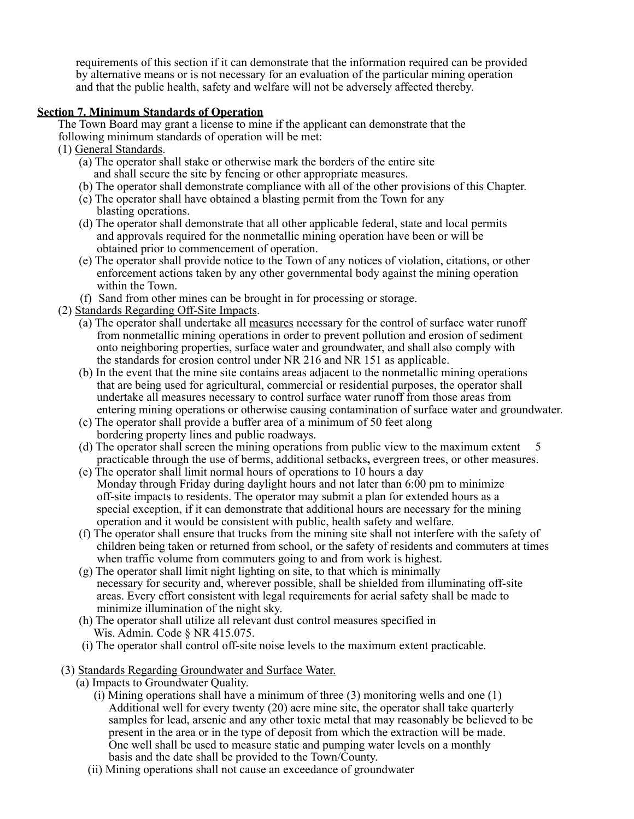requirements of this section if it can demonstrate that the information required can be provided by alternative means or is not necessary for an evaluation of the particular mining operation and that the public health, safety and welfare will not be adversely affected thereby.

## **Section 7. Minimum Standards of Operation**

The Town Board may grant a license to mine if the applicant can demonstrate that the

following minimum standards of operation will be met:

- (1) General Standards.
	- (a) The operator shall stake or otherwise mark the borders of the entire site and shall secure the site by fencing or other appropriate measures.
	- (b) The operator shall demonstrate compliance with all of the other provisions of this Chapter.
	- (c) The operator shall have obtained a blasting permit from the Town for any blasting operations.
	- (d) The operator shall demonstrate that all other applicable federal, state and local permits and approvals required for the nonmetallic mining operation have been or will be obtained prior to commencement of operation.
	- (e) The operator shall provide notice to the Town of any notices of violation, citations, or other enforcement actions taken by any other governmental body against the mining operation within the Town.
	- (f) Sand from other mines can be brought in for processing or storage.
- (2) Standards Regarding Off-Site Impacts.
	- (a) The operator shall undertake all measures necessary for the control of surface water runoff from nonmetallic mining operations in order to prevent pollution and erosion of sediment onto neighboring properties, surface water and groundwater, and shall also comply with the standards for erosion control under NR 216 and NR 151 as applicable.
	- (b) In the event that the mine site contains areas adjacent to the nonmetallic mining operations that are being used for agricultural, commercial or residential purposes, the operator shall undertake all measures necessary to control surface water runoff from those areas from entering mining operations or otherwise causing contamination of surface water and groundwater.
	- (c) The operator shall provide a buffer area of a minimum of 50 feet along bordering property lines and public roadways.
	- (d) The operator shall screen the mining operations from public view to the maximum extent 5 practicable through the use of berms, additional setbacks**,** evergreen trees, or other measures.
	- (e) The operator shall limit normal hours of operations to 10 hours a day Monday through Friday during daylight hours and not later than 6:00 pm to minimize off-site impacts to residents. The operator may submit a plan for extended hours as a special exception, if it can demonstrate that additional hours are necessary for the mining operation and it would be consistent with public, health safety and welfare.
	- (f) The operator shall ensure that trucks from the mining site shall not interfere with the safety of children being taken or returned from school, or the safety of residents and commuters at times when traffic volume from commuters going to and from work is highest.
	- (g) The operator shall limit night lighting on site, to that which is minimally necessary for security and, wherever possible, shall be shielded from illuminating off-site areas. Every effort consistent with legal requirements for aerial safety shall be made to minimize illumination of the night sky.
	- (h) The operator shall utilize all relevant dust control measures specified in Wis. Admin. Code § NR 415.075.
	- (i) The operator shall control off-site noise levels to the maximum extent practicable.
- (3) Standards Regarding Groundwater and Surface Water.
	- (a) Impacts to Groundwater Quality.
		- $(i)$  Mining operations shall have a minimum of three (3) monitoring wells and one (1) Additional well for every twenty (20) acre mine site, the operator shall take quarterly samples for lead, arsenic and any other toxic metal that may reasonably be believed to be present in the area or in the type of deposit from which the extraction will be made. One well shall be used to measure static and pumping water levels on a monthly basis and the date shall be provided to the Town/County.
		- (ii) Mining operations shall not cause an exceedance of groundwater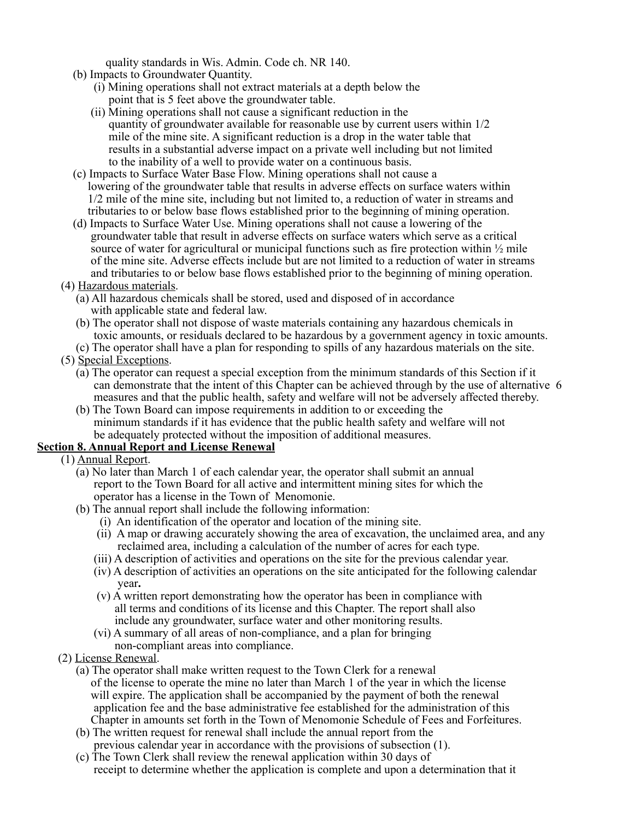quality standards in Wis. Admin. Code ch. NR 140.

- (b) Impacts to Groundwater Quantity.
	- (i) Mining operations shall not extract materials at a depth below the point that is 5 feet above the groundwater table.
	- (ii) Mining operations shall not cause a significant reduction in the quantity of groundwater available for reasonable use by current users within 1/2 mile of the mine site. A significant reduction is a drop in the water table that results in a substantial adverse impact on a private well including but not limited to the inability of a well to provide water on a continuous basis.
- (c) Impacts to Surface Water Base Flow. Mining operations shall not cause a lowering of the groundwater table that results in adverse effects on surface waters within 1/2 mile of the mine site, including but not limited to, a reduction of water in streams and tributaries to or below base flows established prior to the beginning of mining operation.
- (d) Impacts to Surface Water Use. Mining operations shall not cause a lowering of the groundwater table that result in adverse effects on surface waters which serve as a critical source of water for agricultural or municipal functions such as fire protection within  $\frac{1}{2}$  mile of the mine site. Adverse effects include but are not limited to a reduction of water in streams and tributaries to or below base flows established prior to the beginning of mining operation.
- (4) Hazardous materials.
	- (a) All hazardous chemicals shall be stored, used and disposed of in accordance with applicable state and federal law.
	- (b) The operator shall not dispose of waste materials containing any hazardous chemicals in toxic amounts, or residuals declared to be hazardous by a government agency in toxic amounts.
	- (c) The operator shall have a plan for responding to spills of any hazardous materials on the site.
- (5) Special Exceptions.
	- (a) The operator can request a special exception from the minimum standards of this Section if it can demonstrate that the intent of this Chapter can be achieved through by the use of alternative 6 measures and that the public health, safety and welfare will not be adversely affected thereby.
	- (b) The Town Board can impose requirements in addition to or exceeding the minimum standards if it has evidence that the public health safety and welfare will not be adequately protected without the imposition of additional measures.

## **Section 8. Annual Report and License Renewal**

- (1) Annual Report.
	- (a) No later than March 1 of each calendar year, the operator shall submit an annual report to the Town Board for all active and intermittent mining sites for which the operator has a license in the Town of Menomonie.
	- (b) The annual report shall include the following information:
		- (i) An identification of the operator and location of the mining site.
		- (ii) A map or drawing accurately showing the area of excavation, the unclaimed area, and any reclaimed area, including a calculation of the number of acres for each type.
		- (iii) A description of activities and operations on the site for the previous calendar year.
		- (iv) A description of activities an operations on the site anticipated for the following calendar year**.**
		- (v) A written report demonstrating how the operator has been in compliance with all terms and conditions of its license and this Chapter. The report shall also include any groundwater, surface water and other monitoring results.
		- (vi) A summary of all areas of non-compliance, and a plan for bringing non-compliant areas into compliance.
- (2) License Renewal.
	- (a) The operator shall make written request to the Town Clerk for a renewal of the license to operate the mine no later than March 1 of the year in which the license will expire. The application shall be accompanied by the payment of both the renewal application fee and the base administrative fee established for the administration of this Chapter in amounts set forth in the Town of Menomonie Schedule of Fees and Forfeitures.
	- (b) The written request for renewal shall include the annual report from the previous calendar year in accordance with the provisions of subsection (1).
	- (c) The Town Clerk shall review the renewal application within 30 days of receipt to determine whether the application is complete and upon a determination that it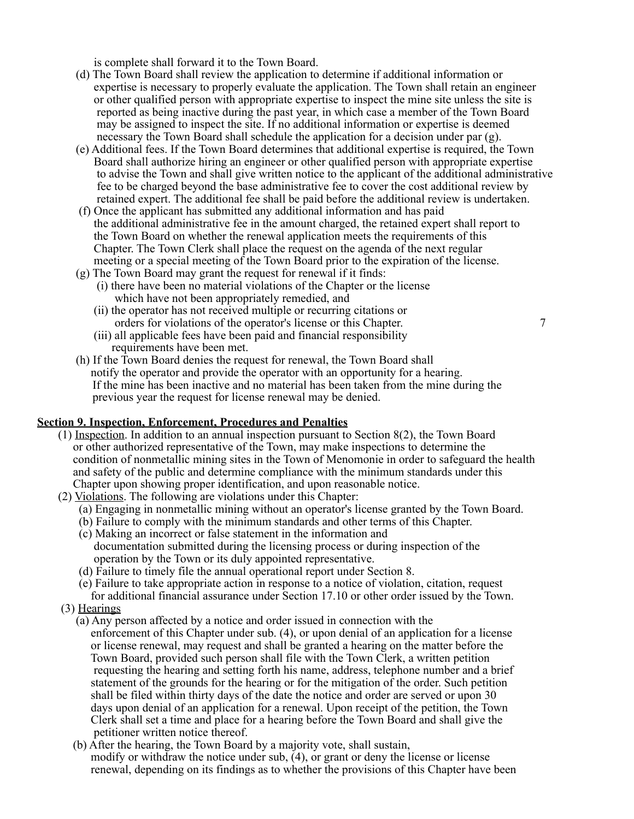is complete shall forward it to the Town Board.

- (d) The Town Board shall review the application to determine if additional information or expertise is necessary to properly evaluate the application. The Town shall retain an engineer or other qualified person with appropriate expertise to inspect the mine site unless the site is reported as being inactive during the past year, in which case a member of the Town Board may be assigned to inspect the site. If no additional information or expertise is deemed necessary the Town Board shall schedule the application for a decision under par (g).
- (e) Additional fees. If the Town Board determines that additional expertise is required, the Town Board shall authorize hiring an engineer or other qualified person with appropriate expertise to advise the Town and shall give written notice to the applicant of the additional administrative fee to be charged beyond the base administrative fee to cover the cost additional review by retained expert. The additional fee shall be paid before the additional review is undertaken.
- (f) Once the applicant has submitted any additional information and has paid the additional administrative fee in the amount charged, the retained expert shall report to the Town Board on whether the renewal application meets the requirements of this Chapter. The Town Clerk shall place the request on the agenda of the next regular meeting or a special meeting of the Town Board prior to the expiration of the license.
- (g) The Town Board may grant the request for renewal if it finds: (i) there have been no material violations of the Chapter or the license which have not been appropriately remedied, and
	- (ii) the operator has not received multiple or recurring citations or orders for violations of the operator's license or this Chapter.  $\frac{7}{2}$
	- (iii) all applicable fees have been paid and financial responsibility requirements have been met.
- (h) If the Town Board denies the request for renewal, the Town Board shall notify the operator and provide the operator with an opportunity for a hearing. If the mine has been inactive and no material has been taken from the mine during the previous year the request for license renewal may be denied.

#### **Section 9. Inspection, Enforcement, Procedures and Penalties**

- (1) Inspection. In addition to an annual inspection pursuant to Section 8(2), the Town Board or other authorized representative of the Town, may make inspections to determine the condition of nonmetallic mining sites in the Town of Menomonie in order to safeguard the health and safety of the public and determine compliance with the minimum standards under this Chapter upon showing proper identification, and upon reasonable notice.
- (2) Violations. The following are violations under this Chapter:
	- (a) Engaging in nonmetallic mining without an operator's license granted by the Town Board.
	- (b) Failure to comply with the minimum standards and other terms of this Chapter.
	- (c) Making an incorrect or false statement in the information and documentation submitted during the licensing process or during inspection of the operation by the Town or its duly appointed representative.
	- (d) Failure to timely file the annual operational report under Section 8.
	- (e) Failure to take appropriate action in response to a notice of violation, citation, request for additional financial assurance under Section 17.10 or other order issued by the Town.
	- (3) Hearings
		- (a) Any person affected by a notice and order issued in connection with the enforcement of this Chapter under sub. (4), or upon denial of an application for a license or license renewal, may request and shall be granted a hearing on the matter before the Town Board, provided such person shall file with the Town Clerk, a written petition requesting the hearing and setting forth his name, address, telephone number and a brief statement of the grounds for the hearing or for the mitigation of the order. Such petition shall be filed within thirty days of the date the notice and order are served or upon 30 days upon denial of an application for a renewal. Upon receipt of the petition, the Town Clerk shall set a time and place for a hearing before the Town Board and shall give the petitioner written notice thereof.
		- (b) After the hearing, the Town Board by a majority vote, shall sustain, modify or withdraw the notice under sub, (4), or grant or deny the license or license renewal, depending on its findings as to whether the provisions of this Chapter have been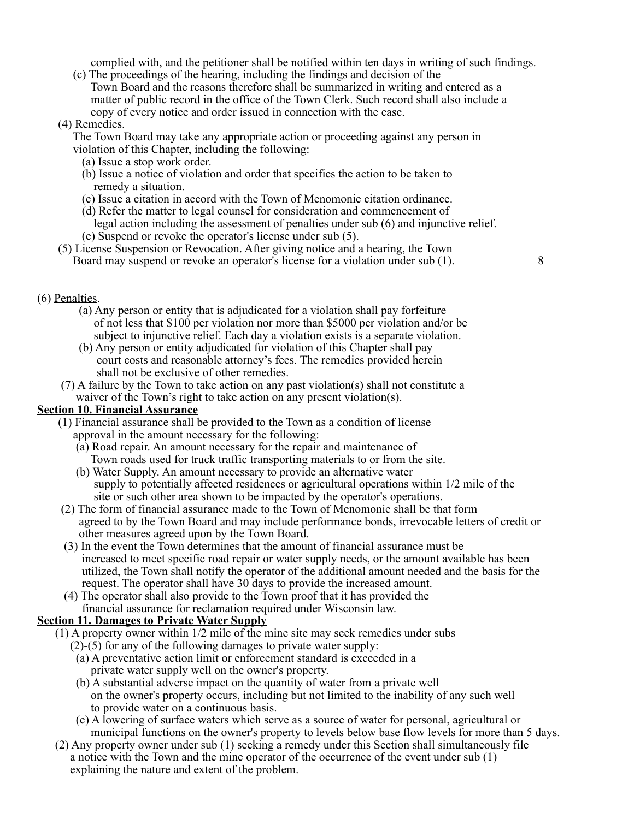complied with, and the petitioner shall be notified within ten days in writing of such findings.

 (c) The proceedings of the hearing, including the findings and decision of the Town Board and the reasons therefore shall be summarized in writing and entered as a matter of public record in the office of the Town Clerk. Such record shall also include a copy of every notice and order issued in connection with the case.

## (4) Remedies.

 The Town Board may take any appropriate action or proceeding against any person in violation of this Chapter, including the following:

- (a) Issue a stop work order.
- (b) Issue a notice of violation and order that specifies the action to be taken to remedy a situation.
- (c) Issue a citation in accord with the Town of Menomonie citation ordinance.
- (d) Refer the matter to legal counsel for consideration and commencement of legal action including the assessment of penalties under sub (6) and injunctive relief.
- (e) Suspend or revoke the operator's license under sub (5).
- (5) License Suspension or Revocation. After giving notice and a hearing, the Town Board may suspend or revoke an operator's license for a violation under sub (1). 8

## (6) Penalties.

- (a) Any person or entity that is adjudicated for a violation shall pay forfeiture of not less that \$100 per violation nor more than \$5000 per violation and/or be subject to injunctive relief. Each day a violation exists is a separate violation.
- (b) Any person or entity adjudicated for violation of this Chapter shall pay court costs and reasonable attorney's fees. The remedies provided herein shall not be exclusive of other remedies.
- (7) A failure by the Town to take action on any past violation(s) shall not constitute a waiver of the Town's right to take action on any present violation(s).

## **Section 10. Financial Assurance**

- (1) Financial assurance shall be provided to the Town as a condition of license approval in the amount necessary for the following:
	- (a) Road repair. An amount necessary for the repair and maintenance of Town roads used for truck traffic transporting materials to or from the site.
	- (b) Water Supply. An amount necessary to provide an alternative water supply to potentially affected residences or agricultural operations within 1/2 mile of the site or such other area shown to be impacted by the operator's operations.
	- (2) The form of financial assurance made to the Town of Menomonie shall be that form agreed to by the Town Board and may include performance bonds, irrevocable letters of credit or other measures agreed upon by the Town Board.
	- (3) In the event the Town determines that the amount of financial assurance must be increased to meet specific road repair or water supply needs, or the amount available has been utilized, the Town shall notify the operator of the additional amount needed and the basis for the request. The operator shall have 30 days to provide the increased amount.
	- (4) The operator shall also provide to the Town proof that it has provided the financial assurance for reclamation required under Wisconsin law.

## **Section 11. Damages to Private Water Supply**

- $(1)$  A property owner within  $1/2$  mile of the mine site may seek remedies under subs
	- (2)-(5) for any of the following damages to private water supply:
	- (a) A preventative action limit or enforcement standard is exceeded in a private water supply well on the owner's property.
	- (b) A substantial adverse impact on the quantity of water from a private well on the owner's property occurs, including but not limited to the inability of any such well to provide water on a continuous basis.
	- (c) A lowering of surface waters which serve as a source of water for personal, agricultural or municipal functions on the owner's property to levels below base flow levels for more than 5 days.
- (2) Any property owner under sub (1) seeking a remedy under this Section shall simultaneously file a notice with the Town and the mine operator of the occurrence of the event under sub (1) explaining the nature and extent of the problem.